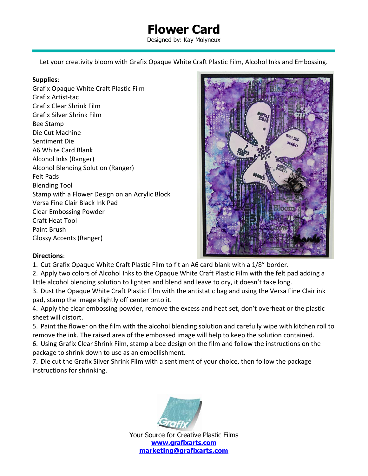## **Flower Card**

Designed by: Kay Molyneux

Let your creativity bloom with Grafix Opaque White Craft Plastic Film, Alcohol Inks and Embossing.

## **Supplies**:

Grafix Opaque White Craft Plastic Film Grafix Artist-tac Grafix Clear Shrink Film Grafix Silver Shrink Film Bee Stamp Die Cut Machine Sentiment Die A6 White Card Blank Alcohol Inks (Ranger) Alcohol Blending Solution (Ranger) Felt Pads Blending Tool Stamp with a Flower Design on an Acrylic Block Versa Fine Clair Black Ink Pad Clear Embossing Powder Craft Heat Tool Paint Brush Glossy Accents (Ranger)



## **Directions**:

1. Cut Grafix Opaque White Craft Plastic Film to fit an A6 card blank with a 1/8" border.

2. Apply two colors of Alcohol Inks to the Opaque White Craft Plastic Film with the felt pad adding a little alcohol blending solution to lighten and blend and leave to dry, it doesn't take long.

3. Dust the Opaque White Craft Plastic Film with the antistatic bag and using the Versa Fine Clair ink pad, stamp the image slightly off center onto it.

4. Apply the clear embossing powder, remove the excess and heat set, don't overheat or the plastic sheet will distort.

5. Paint the flower on the film with the alcohol blending solution and carefully wipe with kitchen roll to remove the ink. The raised area of the embossed image will help to keep the solution contained.

6. Using Grafix Clear Shrink Film, stamp a bee design on the film and follow the instructions on the package to shrink down to use as an embellishment.

7. Die cut the Grafix Silver Shrink Film with a sentiment of your choice, then follow the package instructions for shrinking.



Your Source for Creative Plastic Films **[www.grafixarts.com](http://www.grafixarts.com/) [marketing@grafixarts.com](mailto:marketing@grafixarts.com)**